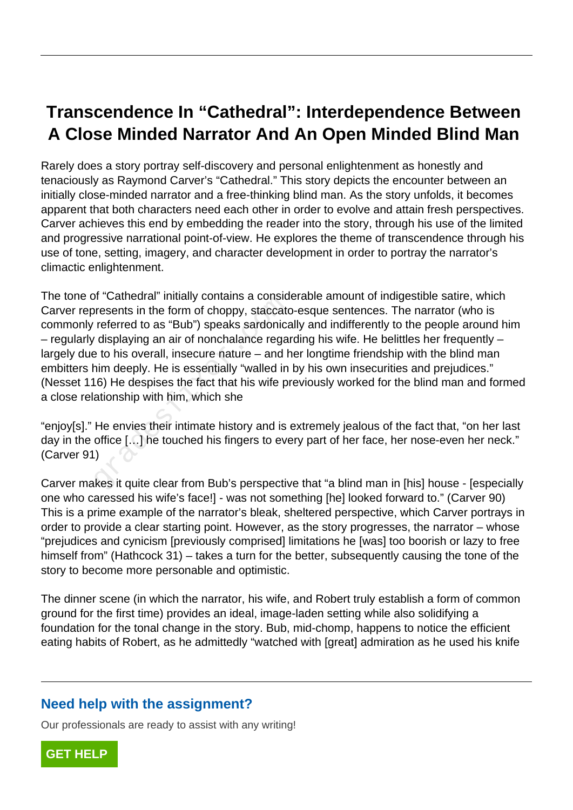## **Transcendence In "Cathedral": Interdependence Between A Close Minded Narrator And An Open Minded Blind Man**

Rarely does a story portray self-discovery and personal enlightenment as honestly and tenaciously as Raymond Carver's "Cathedral." This story depicts the encounter between an initially close-minded narrator and a free-thinking blind man. As the story unfolds, it becomes apparent that both characters need each other in order to evolve and attain fresh perspectives. Carver achieves this end by embedding the reader into the story, through his use of the limited and progressive narrational point-of-view. He explores the theme of transcendence through his use of tone, setting, imagery, and character development in order to portray the narrator's climactic enlightenment.

The tone of "Cathedral" initially contains a considerable amount of indigestible satire, which Carver represents in the form of choppy, staccato-esque sentences. The narrator (who is commonly referred to as "Bub") speaks sardonically and indifferently to the people around him – regularly displaying an air of nonchalance regarding his wife. He belittles her frequently – largely due to his overall, insecure nature – and her longtime friendship with the blind man embitters him deeply. He is essentially "walled in by his own insecurities and prejudices." (Nesset 116) He despises the fact that his wife previously worked for the blind man and formed a close relationship with him, which she In Cathedral Initially Contains a considence<br>resents in the form of choppy, staccate<br>referred to as "Bub") speaks sardonical<br>exist displaying an air of nonchalance regale<br>is to his overall, insecure nature – and him deeply

"enjoy[s]." He envies their intimate history and is extremely jealous of the fact that, "on her last day in the office […] he touched his fingers to every part of her face, her nose-even her neck." (Carver 91)

Carver makes it quite clear from Bub's perspective that "a blind man in [his] house - [especially one who caressed his wife's face!] - was not something [he] looked forward to." (Carver 90) This is a prime example of the narrator's bleak, sheltered perspective, which Carver portrays in order to provide a clear starting point. However, as the story progresses, the narrator – whose "prejudices and cynicism [previously comprised] limitations he [was] too boorish or lazy to free himself from" (Hathcock 31) – takes a turn for the better, subsequently causing the tone of the story to become more personable and optimistic.

The dinner scene (in which the narrator, his wife, and Robert truly establish a form of common ground for the first time) provides an ideal, image-laden setting while also solidifying a foundation for the tonal change in the story. Bub, mid-chomp, happens to notice the efficient eating habits of Robert, as he admittedly "watched with [great] admiration as he used his knife

## **Need help with the assignment?**

Our professionals are ready to assist with any writing!

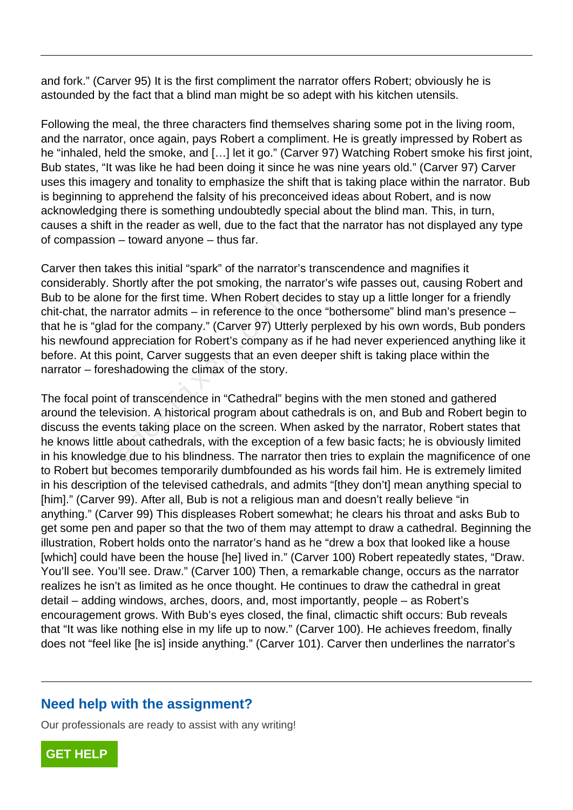and fork." (Carver 95) It is the first compliment the narrator offers Robert; obviously he is astounded by the fact that a blind man might be so adept with his kitchen utensils.

Following the meal, the three characters find themselves sharing some pot in the living room, and the narrator, once again, pays Robert a compliment. He is greatly impressed by Robert as he "inhaled, held the smoke, and […] let it go." (Carver 97) Watching Robert smoke his first joint, Bub states, "It was like he had been doing it since he was nine years old." (Carver 97) Carver uses this imagery and tonality to emphasize the shift that is taking place within the narrator. Bub is beginning to apprehend the falsity of his preconceived ideas about Robert, and is now acknowledging there is something undoubtedly special about the blind man. This, in turn, causes a shift in the reader as well, due to the fact that the narrator has not displayed any type of compassion – toward anyone – thus far.

Carver then takes this initial "spark" of the narrator's transcendence and magnifies it considerably. Shortly after the pot smoking, the narrator's wife passes out, causing Robert and Bub to be alone for the first time. When Robert decides to stay up a little longer for a friendly chit-chat, the narrator admits – in reference to the once "bothersome" blind man's presence – that he is "glad for the company." (Carver 97) Utterly perplexed by his own words, Bub ponders his newfound appreciation for Robert's company as if he had never experienced anything like it before. At this point, Carver suggests that an even deeper shift is taking place within the narrator – foreshadowing the climax of the story.

The focal point of transcendence in "Cathedral" begins with the men stoned and gathered around the television. A historical program about cathedrals is on, and Bub and Robert begin to discuss the events taking place on the screen. When asked by the narrator, Robert states that he knows little about cathedrals, with the exception of a few basic facts; he is obviously limited in his knowledge due to his blindness. The narrator then tries to explain the magnificence of one to Robert but becomes temporarily dumbfounded as his words fail him. He is extremely limited in his description of the televised cathedrals, and admits "[they don't] mean anything special to [him]." (Carver 99). After all, Bub is not a religious man and doesn't really believe "in anything." (Carver 99) This displeases Robert somewhat; he clears his throat and asks Bub to get some pen and paper so that the two of them may attempt to draw a cathedral. Beginning the illustration, Robert holds onto the narrator's hand as he "drew a box that looked like a house [which] could have been the house [he] lived in." (Carver 100) Robert repeatedly states, "Draw. You'll see. You'll see. Draw." (Carver 100) Then, a remarkable change, occurs as the narrator realizes he isn't as limited as he once thought. He continues to draw the cathedral in great detail – adding windows, arches, doors, and, most importantly, people – as Robert's encouragement grows. With Bub's eyes closed, the final, climactic shift occurs: Bub reveals that "It was like nothing else in my life up to now." (Carver 100). He achieves freedom, finally does not "feel like [he is] inside anything." (Carver 101). Carver then underlines the narrator's alone for the first time. When Robert defined the narrator admits – in reference to the glad for the company." (Carver 97) Uttind appreciation for Robert's company this point, Carver suggests that an evertices for the stor

## **Need help with the assignment?**

Our professionals are ready to assist with any writing!

**[GET HELP](https://my.gradesfixer.com/order?utm_campaign=pdf_sample)**